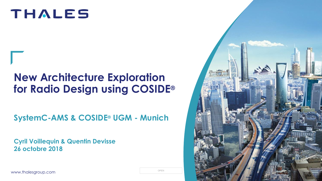# **THALES**

# **New Architecture Exploration for Radio Design using COSIDE®**

**SystemC-AMS & COSIDE® UGM - Munich** 

**Cyril Voillequin & Quentin Devisse 26 octobre 2018**

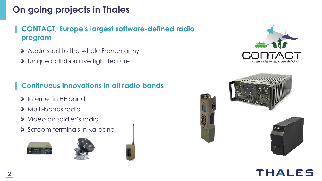# **On going projects in Thales**

#### ▌ **CONTACT, Europe's largest software-defined radio program**

- Addressed to the whole French army
- Unique collaborative fight feature

#### ▌ **Continuous innovations in all radio bands**

- Internet in HF band
- Multi-bands radio
- Video on soldier's radio
- > Satcom terminals in Ka band













# THALES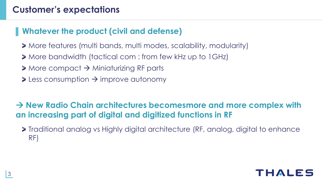#### ▌**Whatever the product (civil and defense)**

- More features (multi bands, multi modes, scalability, modularity)
- More bandwidth (tactical com : from few kHz up to 1GHz)
- $\geq$  More compact  $\rightarrow$  Miniaturizing RF parts
- $\ge$  Less consumption  $\rightarrow$  improve autonomy

 **New Radio Chain architectures becomesmore and more complex with an increasing part of digital and digitized functions in RF**

Traditional analog vs Highly digital architecture (RF, analog, digital to enhance RF)

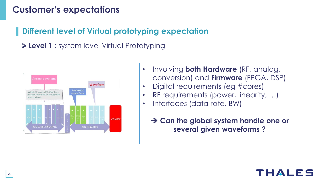#### ▌ **Different level of Virtual prototyping expectation**

**Level 1** : system level Virtual Prototyping



- Involving **both Hardware** (RF, analog, conversion) and **Firmware** (FPGA, DSP)
- Digital requirements (eg #cores)
- RF requirements (power, linearity, ...)
- Interfaces (data rate, BW)
	- **→ Can the global system handle one or several given waveforms ?**

#### **FEIAL**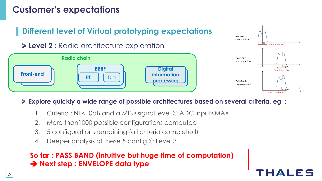

#### **Explore quickly a wide range of possible architectures based on several criteria, eg :**

- 1. Criteria : NF<10dB and a MIN<signal level @ ADC input<MAX
- 2. More than1000 possible configurations computed
- 3. 5 configurations remaining (all criteria completed)
- 4. Deeper analysis of these 5 config @ Level 3

#### **So far : PASS BAND (intuitive but huge time of computation) → Next step : ENVELOPE data type**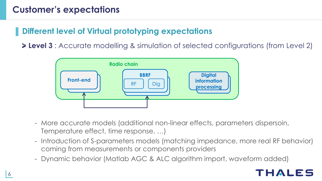#### ▌ **Different level of Virtual prototyping expectations**

**Level 3** : Accurate modelling & simulation of selected configurations (from Level 2)



- More accurate models (additional non-linear effects, parameters dispersoin, Temperature effect, time response, …)
- Introduction of S-parameters models (matching impedance, more real RF behavior) coming from measurements or components providers
- Dynamic behavior (Matlab AGC & ALC algorithm import, waveform added)

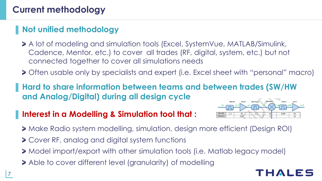# **Current methodology**

# ▌**Not unified methodology**

- A lot of modeling and simulation tools (Excel, SystemVue, MATLAB/Simulink, Cadence, Mentor, etc.) to cover all trades (RF, digital, system, etc.) but not connected together to cover all simulations needs
- Often usable only by specialists and expert (i.e. Excel sheet with "personal" macro)

▌ **Hard to share information between teams and between trades (SW/HW and Analog/Digital) during all design cycle**

#### ▌ **Interest in a Modelling & Simulation tool that :**



- Make Radio system modelling, simulation, design more efficient (Design ROI)
- Cover RF, analog and digital system functions
- Model import/export with other simulation tools (i.e. Matlab legacy model)
- Able to cover different level (granularity) of modelling

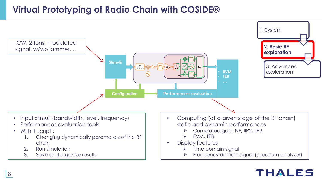### **Virtual Prototyping of Radio Chain with COSIDE®**



#### THALES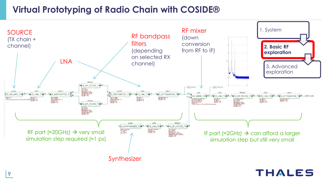#### **Virtual Prototyping of Radio Chain with COSIDE®**

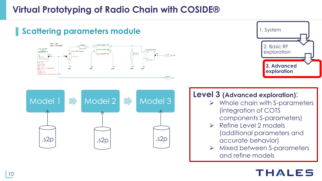# **Virtual Prototyping of Radio Chain with COSIDE®**





#### **Level 3 (Advanced exploration)**:

- $\triangleright$  Whole chain with S-parameters (Integration of COTS
	- components S-parameters)
- $\triangleright$  Refine Level 2 models (additional parameters and accurate behavior)
- > Mixed between S-parameters and refine models

### THALES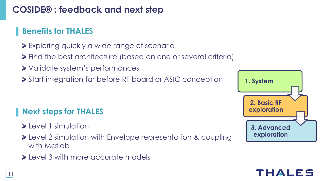#### ▌ **Benefits for THALES**

- Exploring quickly a wide range of scenario
- Find the best architecture (based on one or several criteria)
- Validate system's performances
- **>** Start integration far before RF board or ASIC conception

# ▌**Next steps for THALES**

- $\blacktriangleright$  Level 1 simulation
- **>** Level 2 simulation with Envelope representation & coupling with Matlab
- level 3 with more accurate models